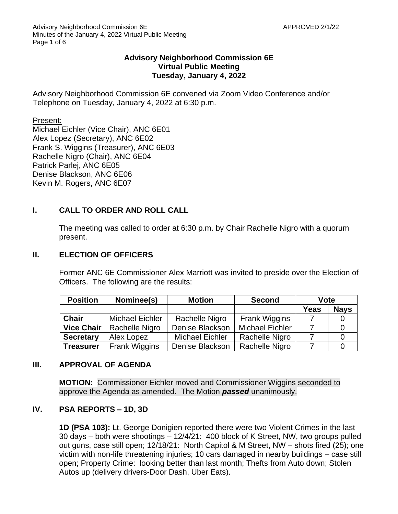## **Advisory Neighborhood Commission 6E Virtual Public Meeting Tuesday, January 4, 2022**

Advisory Neighborhood Commission 6E convened via Zoom Video Conference and/or Telephone on Tuesday, January 4, 2022 at 6:30 p.m.

Present:

Michael Eichler (Vice Chair), ANC 6E01 Alex Lopez (Secretary), ANC 6E02 Frank S. Wiggins (Treasurer), ANC 6E03 Rachelle Nigro (Chair), ANC 6E04 Patrick Parlej, ANC 6E05 Denise Blackson, ANC 6E06 Kevin M. Rogers, ANC 6E07

# **I. CALL TO ORDER AND ROLL CALL**

The meeting was called to order at 6:30 p.m. by Chair Rachelle Nigro with a quorum present.

### **II. ELECTION OF OFFICERS**

Former ANC 6E Commissioner Alex Marriott was invited to preside over the Election of Officers. The following are the results:

| <b>Position</b>   | Nominee(s)             | <b>Motion</b>          | <b>Second</b>          | <b>Vote</b> |             |
|-------------------|------------------------|------------------------|------------------------|-------------|-------------|
|                   |                        |                        |                        | Yeas        | <b>Nays</b> |
| <b>Chair</b>      | <b>Michael Eichler</b> | Rachelle Nigro         | <b>Frank Wiggins</b>   |             |             |
| <b>Vice Chair</b> | Rachelle Nigro         | Denise Blackson        | <b>Michael Eichler</b> |             |             |
| <b>Secretary</b>  | Alex Lopez             | <b>Michael Eichler</b> | Rachelle Nigro         |             |             |
| <b>Treasurer</b>  | <b>Frank Wiggins</b>   | Denise Blackson        | Rachelle Nigro         |             |             |

### **III. APPROVAL OF AGENDA**

**MOTION:** Commissioner Eichler moved and Commissioner Wiggins seconded to approve the Agenda as amended. The Motion *passed* unanimously.

### **IV. PSA REPORTS – 1D, 3D**

**1D (PSA 103):** Lt. George Donigien reported there were two Violent Crimes in the last 30 days – both were shootings – 12/4/21: 400 block of K Street, NW, two groups pulled out guns, case still open; 12/18/21: North Capitol & M Street, NW – shots fired (25); one victim with non-life threatening injuries; 10 cars damaged in nearby buildings – case still open; Property Crime: looking better than last month; Thefts from Auto down; Stolen Autos up (delivery drivers-Door Dash, Uber Eats).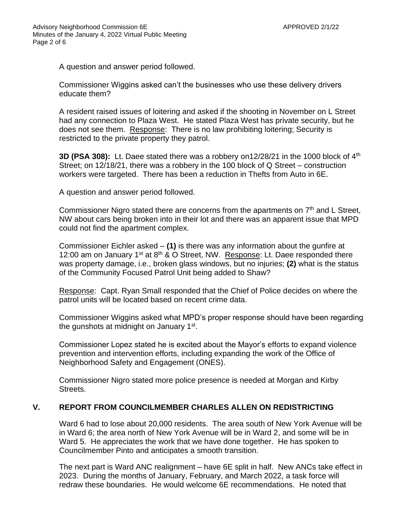A question and answer period followed.

Commissioner Wiggins asked can't the businesses who use these delivery drivers educate them?

A resident raised issues of loitering and asked if the shooting in November on L Street had any connection to Plaza West. He stated Plaza West has private security, but he does not see them. Response: There is no law prohibiting loitering; Security is restricted to the private property they patrol.

**3D (PSA 308):** Lt. Daee stated there was a robbery on12/28/21 in the 1000 block of 4<sup>th</sup> Street; on 12/18/21, there was a robbery in the 100 block of Q Street – construction workers were targeted. There has been a reduction in Thefts from Auto in 6E.

A question and answer period followed.

Commissioner Nigro stated there are concerns from the apartments on  $7<sup>th</sup>$  and L Street, NW about cars being broken into in their lot and there was an apparent issue that MPD could not find the apartment complex.

Commissioner Eichler asked – **(1)** is there was any information about the gunfire at 12:00 am on January  $1^{st}$  at  $8^{th}$  & O Street, NW. Response: Lt. Daee responded there was property damage, i.e., broken glass windows, but no injuries; **(2)** what is the status of the Community Focused Patrol Unit being added to Shaw?

Response: Capt. Ryan Small responded that the Chief of Police decides on where the patrol units will be located based on recent crime data.

Commissioner Wiggins asked what MPD's proper response should have been regarding the gunshots at midnight on January 1<sup>st</sup>.

Commissioner Lopez stated he is excited about the Mayor's efforts to expand violence prevention and intervention efforts, including expanding the work of the Office of Neighborhood Safety and Engagement (ONES).

Commissioner Nigro stated more police presence is needed at Morgan and Kirby Streets.

### **V. REPORT FROM COUNCILMEMBER CHARLES ALLEN ON REDISTRICTING**

Ward 6 had to lose about 20,000 residents. The area south of New York Avenue will be in Ward 6; the area north of New York Avenue will be in Ward 2, and some will be in Ward 5. He appreciates the work that we have done together. He has spoken to Councilmember Pinto and anticipates a smooth transition.

The next part is Ward ANC realignment – have 6E split in half. New ANCs take effect in 2023. During the months of January, February, and March 2022, a task force will redraw these boundaries. He would welcome 6E recommendations. He noted that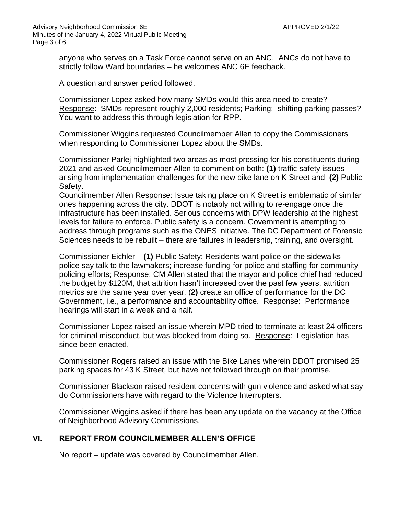anyone who serves on a Task Force cannot serve on an ANC. ANCs do not have to strictly follow Ward boundaries – he welcomes ANC 6E feedback.

A question and answer period followed.

Commissioner Lopez asked how many SMDs would this area need to create? Response: SMDs represent roughly 2,000 residents; Parking: shifting parking passes? You want to address this through legislation for RPP.

Commissioner Wiggins requested Councilmember Allen to copy the Commissioners when responding to Commissioner Lopez about the SMDs.

Commissioner Parlej highlighted two areas as most pressing for his constituents during 2021 and asked Councilmember Allen to comment on both: **(1)** traffic safety issues arising from implementation challenges for the new bike lane on K Street and **(2)** Public Safety.

Councilmember Allen Response: Issue taking place on K Street is emblematic of similar ones happening across the city. DDOT is notably not willing to re-engage once the infrastructure has been installed. Serious concerns with DPW leadership at the highest levels for failure to enforce. Public safety is a concern. Government is attempting to address through programs such as the ONES initiative. The DC Department of Forensic Sciences needs to be rebuilt – there are failures in leadership, training, and oversight.

Commissioner Eichler – **(1)** Public Safety: Residents want police on the sidewalks – police say talk to the lawmakers; increase funding for police and staffing for community policing efforts; Response: CM Allen stated that the mayor and police chief had reduced the budget by \$120M, that attrition hasn't increased over the past few years, attrition metrics are the same year over year, (**2)** create an office of performance for the DC Government, i.e., a performance and accountability office. Response: Performance hearings will start in a week and a half.

Commissioner Lopez raised an issue wherein MPD tried to terminate at least 24 officers for criminal misconduct, but was blocked from doing so. Response: Legislation has since been enacted.

Commissioner Rogers raised an issue with the Bike Lanes wherein DDOT promised 25 parking spaces for 43 K Street, but have not followed through on their promise.

Commissioner Blackson raised resident concerns with gun violence and asked what say do Commissioners have with regard to the Violence Interrupters.

Commissioner Wiggins asked if there has been any update on the vacancy at the Office of Neighborhood Advisory Commissions.

### **VI. REPORT FROM COUNCILMEMBER ALLEN'S OFFICE**

No report – update was covered by Councilmember Allen.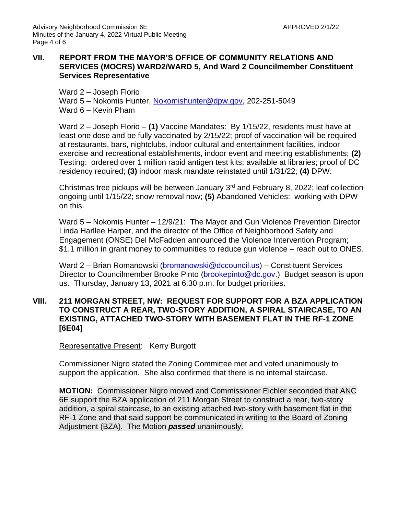### **VII. REPORT FROM THE MAYOR'S OFFICE OF COMMUNITY RELATIONS AND SERVICES (MOCRS) WARD2/WARD 5, And Ward 2 Councilmember Constituent Services Representative**

Ward 2 – Joseph Florio

Ward 5 – Nokomis Hunter, [Nokomishunter@dpw.gov,](mailto:Nokomishunter@dpw.gov) 202-251-5049 Ward 6 – Kevin Pham

Ward 2 – Joseph Florio – **(1)** Vaccine Mandates: By 1/15/22, residents must have at least one dose and be fully vaccinated by 2/15/22; proof of vaccination will be required at restaurants, bars, nightclubs, indoor cultural and entertainment facilities, indoor exercise and recreational establishments, indoor event and meeting establishments; **(2)** Testing: ordered over 1 million rapid antigen test kits; available at libraries; proof of DC residency required; **(3)** indoor mask mandate reinstated until 1/31/22; **(4)** DPW:

Christmas tree pickups will be between January 3rd and February 8, 2022; leaf collection ongoing until 1/15/22; snow removal now; **(5)** Abandoned Vehicles: working with DPW on this.

Ward 5 – Nokomis Hunter – 12/9/21: The Mayor and Gun Violence Prevention Director Linda Harllee Harper, and the director of the Office of Neighborhood Safety and Engagement (ONSE) Del McFadden announced the Violence Intervention Program; \$1.1 million in grant money to communities to reduce gun violence – reach out to ONES.

Ward 2 – Brian Romanowski [\(bromanowski@dccouncil.us\)](mailto:bromanowski@dccouncil.us) – Constituent Services Director to Councilmember Brooke Pinto [\(brookepinto@dc.gov.](mailto:brookepinto@dc.gov)) Budget season is upon us. Thursday, January 13, 2021 at 6:30 p.m. for budget priorities.

### **VIII. 211 MORGAN STREET, NW: REQUEST FOR SUPPORT FOR A BZA APPLICATION TO CONSTRUCT A REAR, TWO-STORY ADDITION, A SPIRAL STAIRCASE, TO AN EXISTING, ATTACHED TWO-STORY WITH BASEMENT FLAT IN THE RF-1 ZONE [6E04]**

Representative Present: Kerry Burgott

Commissioner Nigro stated the Zoning Committee met and voted unanimously to support the application. She also confirmed that there is no internal staircase.

**MOTION:** Commissioner Nigro moved and Commissioner Eichler seconded that ANC 6E support the BZA application of 211 Morgan Street to construct a rear, two-story addition, a spiral staircase, to an existing attached two-story with basement flat in the RF-1 Zone and that said support be communicated in writing to the Board of Zoning Adjustment (BZA). The Motion *passed* unanimously.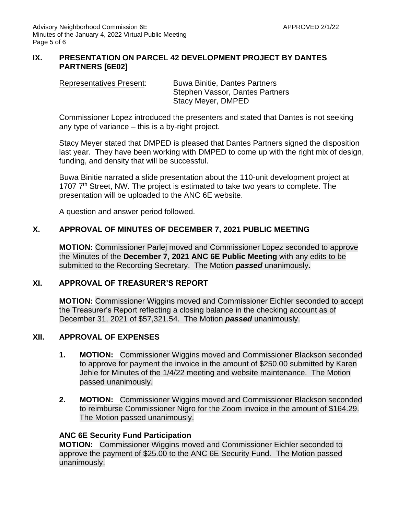# **IX. PRESENTATION ON PARCEL 42 DEVELOPMENT PROJECT BY DANTES PARTNERS [6E02]**

Representatives Present: Buwa Binitie, Dantes Partners Stephen Vassor, Dantes Partners Stacy Meyer, DMPED

Commissioner Lopez introduced the presenters and stated that Dantes is not seeking any type of variance – this is a by-right project.

Stacy Meyer stated that DMPED is pleased that Dantes Partners signed the disposition last year. They have been working with DMPED to come up with the right mix of design, funding, and density that will be successful.

Buwa Binitie narrated a slide presentation about the 110-unit development project at 1707 7<sup>th</sup> Street, NW. The project is estimated to take two years to complete. The presentation will be uploaded to the ANC 6E website.

A question and answer period followed.

# **X. APPROVAL OF MINUTES OF DECEMBER 7, 2021 PUBLIC MEETING**

**MOTION:** Commissioner Parlej moved and Commissioner Lopez seconded to approve the Minutes of the **December 7, 2021 ANC 6E Public Meeting** with any edits to be submitted to the Recording Secretary. The Motion *passed* unanimously.

# **XI. APPROVAL OF TREASURER'S REPORT**

**MOTION:** Commissioner Wiggins moved and Commissioner Eichler seconded to accept the Treasurer's Report reflecting a closing balance in the checking account as of December 31, 2021 of \$57,321.54. The Motion *passed* unanimously.

### **XII. APPROVAL OF EXPENSES**

- **1. MOTION:** Commissioner Wiggins moved and Commissioner Blackson seconded to approve for payment the invoice in the amount of \$250.00 submitted by Karen Jehle for Minutes of the 1/4/22 meeting and website maintenance. The Motion passed unanimously.
- **2. MOTION:** Commissioner Wiggins moved and Commissioner Blackson seconded to reimburse Commissioner Nigro for the Zoom invoice in the amount of \$164.29. The Motion passed unanimously.

### **ANC 6E Security Fund Participation**

**MOTION:** Commissioner Wiggins moved and Commissioner Eichler seconded to approve the payment of \$25.00 to the ANC 6E Security Fund. The Motion passed unanimously.